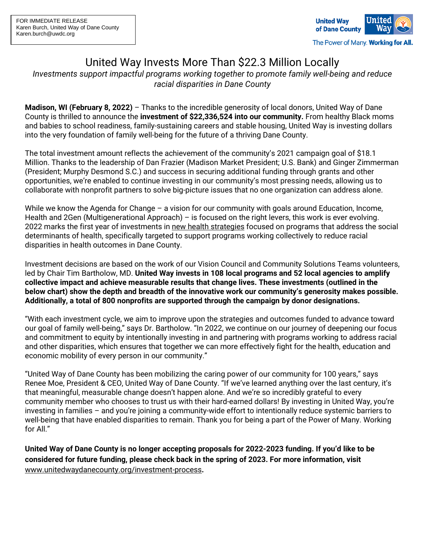

## United Way Invests More Than \$22.3 Million Locally

*Investments support impactful programs working together to promote family well-being and reduce racial disparities in Dane County*

**Madison, WI (February 8, 2022)** – Thanks to the incredible generosity of local donors, United Way of Dane County is thrilled to announce the **investment of \$22,336,524 into our community.** From healthy Black moms and babies to school readiness, family-sustaining careers and stable housing, United Way is investing dollars into the very foundation of family well-being for the future of a thriving Dane County.

The total investment amount reflects the achievement of the community's 2021 campaign goal of \$18.1 Million. Thanks to the leadership of Dan Frazier (Madison Market President; U.S. Bank) and Ginger Zimmerman (President; Murphy Desmond S.C.) and success in securing additional funding through grants and other opportunities, we're enabled to continue investing in our community's most pressing needs, allowing us to collaborate with nonprofit partners to solve big-picture issues that no one organization can address alone.

While we know the Agenda for Change – a vision for our community with goals around Education, Income, Health and 2Gen (Multigenerational Approach) – is focused on the right levers, this work is ever evolving. 2022 marks the first year of investments in new health [strategies](https://www.unitedwaydanecounty.org/wp-content/uploads/Press-Release_United-Way-of-Dane-County-Announces-New-Strategies-for-More-Equitable-Health-Outcomes.pdf) focused on programs that address the social determinants of health, specifically targeted to support programs working collectively to reduce racial disparities in health outcomes in Dane County.

Investment decisions are based on the work of our Vision Council and Community Solutions Teams volunteers, led by Chair Tim Bartholow, MD. **United Way invests in 108 local programs and 52 local agencies to amplify collective impact and achieve measurable results that change lives. These investments (outlined in the below chart) show the depth and breadth of the innovative work our community's generosity makes possible. Additionally, a total of 800 nonprofits are supported through the campaign by donor designations.**

"With each investment cycle, we aim to improve upon the strategies and outcomes funded to advance toward our goal of family well-being," says Dr. Bartholow. "In 2022, we continue on our journey of deepening our focus and commitment to equity by intentionally investing in and partnering with programs working to address racial and other disparities, which ensures that together we can more effectively fight for the health, education and economic mobility of every person in our community."

"United Way of Dane County has been mobilizing the caring power of our community for 100 years," says Renee Moe, President & CEO, United Way of Dane County. "If we've learned anything over the last century, it's that meaningful, measurable change doesn't happen alone. And we're so incredibly grateful to every community member who chooses to trust us with their hard-earned dollars! By investing in United Way, you're investing in families – and you're joining a community-wide effort to intentionally reduce systemic barriers to well-being that have enabled disparities to remain. Thank you for being a part of the Power of Many. Working for All."

United Way of Dane County is no longer accepting proposals for 2022-2023 funding. If you'd like to be **considered for future funding, please check back in the spring of 2023. For more information, visit** [www.unitedwaydanecounty.org/investment-process](http://www.unitedwaydanecounty.org/investment-process)**.**